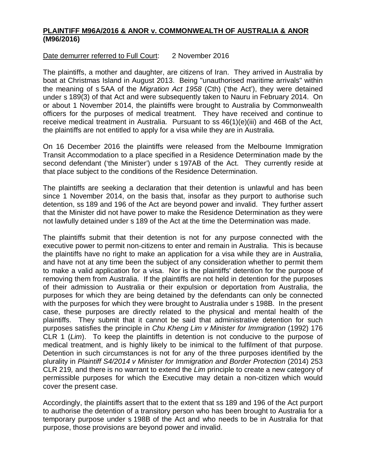## **PLAINTIFF M96A/2016 & ANOR v. COMMONWEALTH OF AUSTRALIA & ANOR (M96/2016)**

## Date demurrer referred to Full Court: 2 November 2016

The plaintiffs, a mother and daughter, are citizens of Iran. They arrived in Australia by boat at Christmas Island in August 2013. Being "unauthorised maritime arrivals" within the meaning of s 5AA of the *Migration Act 1958* (Cth) ('the Act'), they were detained under s 189(3) of that Act and were subsequently taken to Nauru in February 2014. On or about 1 November 2014, the plaintiffs were brought to Australia by Commonwealth officers for the purposes of medical treatment. They have received and continue to receive medical treatment in Australia. Pursuant to ss 46(1)(e)(iii) and 46B of the Act, the plaintiffs are not entitled to apply for a visa while they are in Australia.

On 16 December 2016 the plaintiffs were released from the Melbourne Immigration Transit Accommodation to a place specified in a Residence Determination made by the second defendant ('the Minister') under s 197AB of the Act. They currently reside at that place subject to the conditions of the Residence Determination.

The plaintiffs are seeking a declaration that their detention is unlawful and has been since 1 November 2014, on the basis that, insofar as they purport to authorise such detention, ss 189 and 196 of the Act are beyond power and invalid. They further assert that the Minister did not have power to make the Residence Determination as they were not lawfully detained under s 189 of the Act at the time the Determination was made.

The plaintiffs submit that their detention is not for any purpose connected with the executive power to permit non-citizens to enter and remain in Australia. This is because the plaintiffs have no right to make an application for a visa while they are in Australia, and have not at any time been the subject of any consideration whether to permit them to make a valid application for a visa. Nor is the plaintiffs' detention for the purpose of removing them from Australia. If the plaintiffs are not held in detention for the purposes of their admission to Australia or their expulsion or deportation from Australia, the purposes for which they are being detained by the defendants can only be connected with the purposes for which they were brought to Australia under s 198B. In the present case, these purposes are directly related to the physical and mental health of the plaintiffs. They submit that it cannot be said that administrative detention for such purposes satisfies the principle in *Chu Kheng Lim v Minister for Immigration* (1992) 176 CLR 1 (*Lim*). To keep the plaintiffs in detention is not conducive to the purpose of medical treatment, and is highly likely to be inimical to the fulfilment of that purpose. Detention in such circumstances is not for any of the three purposes identified by the plurality in *Plaintiff S4/2014 v Minister for Immigration and Border Protection* (2014) 253 CLR 219*,* and there is no warrant to extend the *Lim* principle to create a new category of permissible purposes for which the Executive may detain a non-citizen which would cover the present case.

Accordingly, the plaintiffs assert that to the extent that ss 189 and 196 of the Act purport to authorise the detention of a transitory person who has been brought to Australia for a temporary purpose under s 198B of the Act and who needs to be in Australia for that purpose, those provisions are beyond power and invalid.